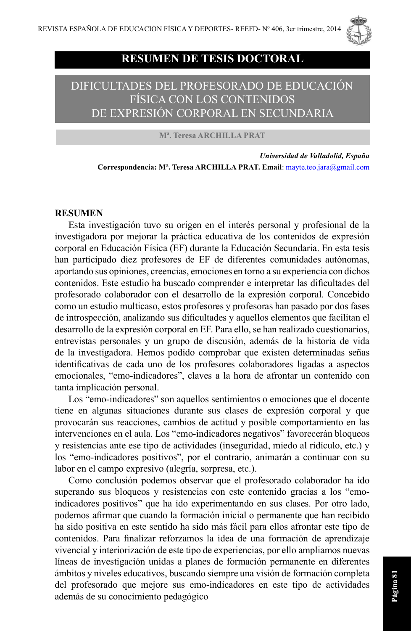

## **RESUMEN DE TESIS DOCTORAL**

# DIFICULTADES DEL PROFESORADO DE EDUCACIÓN FÍSICA CON LOS CONTENIDOS DE EXPRESIÓN CORPORAL EN SECUNDARIA

**Mª. Teresa ARCHILLA PRAT** 

*Universidad de Valladolid, España* **Correspondencia: Mª. Teresa ARCHILLA PRAT. Email**: mayte.teo.jara@gmail.com

### **RESUMEN**

Esta investigación tuvo su origen en el interés personal y profesional de la investigadora por mejorar la práctica educativa de los contenidos de expresión corporal en Educación Física (EF) durante la Educación Secundaria. En esta tesis han participado diez profesores de EF de diferentes comunidades autónomas, aportando sus opiniones, creencias, emociones en torno a su experiencia con dichos contenidos. Este estudio ha buscado comprender e interpretar las dificultades del profesorado colaborador con el desarrollo de la expresión corporal. Concebido como un estudio multicaso, estos profesores y profesoras han pasado por dos fases de introspección, analizando sus dificultades y aquellos elementos que facilitan el desarrollo de la expresión corporal en EF. Para ello, se han realizado cuestionarios, entrevistas personales y un grupo de discusión, además de la historia de vida de la investigadora. Hemos podido comprobar que existen determinadas señas identificativas de cada uno de los profesores colaboradores ligadas a aspectos emocionales, "emo-indicadores", claves a la hora de afrontar un contenido con tanta implicación personal.

Los "emo-indicadores" son aquellos sentimientos o emociones que el docente tiene en algunas situaciones durante sus clases de expresión corporal y que provocarán sus reacciones, cambios de actitud y posible comportamiento en las intervenciones en el aula. Los "emo-indicadores negativos" favorecerán bloqueos y resistencias ante ese tipo de actividades (inseguridad, miedo al ridículo, etc.) y los "emo-indicadores positivos", por el contrario, animarán a continuar con su labor en el campo expresivo (alegría, sorpresa, etc.).

Como conclusión podemos observar que el profesorado colaborador ha ido superando sus bloqueos y resistencias con este contenido gracias a los "emoindicadores positivos" que ha ido experimentando en sus clases. Por otro lado, podemos afirmar que cuando la formación inicial o permanente que han recibido ha sido positiva en este sentido ha sido más fácil para ellos afrontar este tipo de contenidos. Para finalizar reforzamos la idea de una formación de aprendizaje vivencial y interiorización de este tipo de experiencias, por ello ampliamos nuevas líneas de investigación unidas a planes de formación permanente en diferentes ámbitos y niveles educativos, buscando siempre una visión de formación completa del profesorado que mejore sus emo-indicadores en este tipo de actividades además de su conocimiento pedagógico